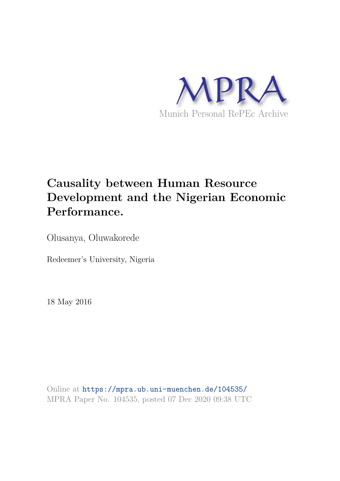

# **Causality between Human Resource Development and the Nigerian Economic Performance.**

Olusanya, Oluwakorede

Redeemer's University, Nigeria

18 May 2016

Online at https://mpra.ub.uni-muenchen.de/104535/ MPRA Paper No. 104535, posted 07 Dec 2020 09:38 UTC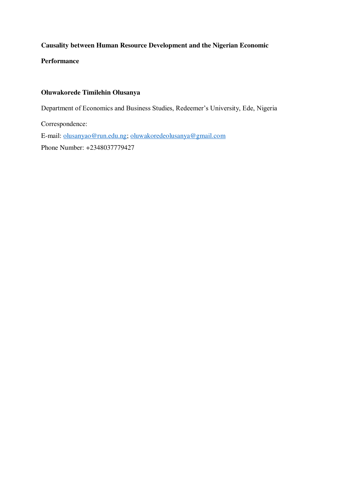# **Causality between Human Resource Development and the Nigerian Economic**

**Performance** 

## **Oluwakorede Timilehin Olusanya**

Department of Economics and Business Studies, Redeemer's University, Ede, Nigeria

Correspondence: E-mail: [olusanyao@run.edu.ng;](mailto:olusanyao@run.edu.ng) [oluwakoredeolusanya@gmail.com](mailto:oluwakoredeolusanya@gmail.com) Phone Number: +2348037779427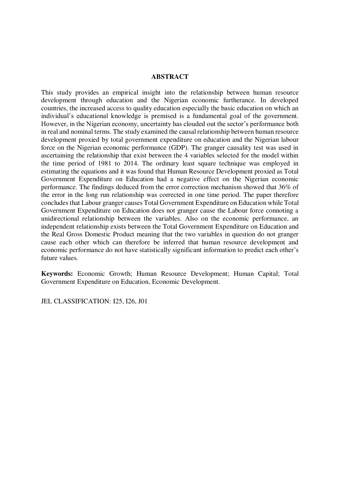#### **ABSTRACT**

This study provides an empirical insight into the relationship between human resource development through education and the Nigerian economic furtherance. In developed countries, the increased access to quality education especially the basic education on which an individual's educational knowledge is premised is a fundamental goal of the government. However, in the Nigerian economy, uncertainty has clouded out the sector's performance both in real and nominal terms. The study examined the causal relationship between human resource development proxied by total government expenditure on education and the Nigerian labour force on the Nigerian economic performance (GDP). The granger causality test was used in ascertaining the relationship that exist between the 4 variables selected for the model within the time period of 1981 to 2014. The ordinary least square technique was employed in estimating the equations and it was found that Human Resource Development proxied as Total Government Expenditure on Education had a negative effect on the Nigerian economic performance. The findings deduced from the error correction mechanism showed that 36% of the error in the long run relationship was corrected in one time period. The paper therefore concludes that Labour granger causes Total Government Expenditure on Education while Total Government Expenditure on Education does not granger cause the Labour force connoting a unidirectional relationship between the variables. Also on the economic performance, an independent relationship exists between the Total Government Expenditure on Education and the Real Gross Domestic Product meaning that the two variables in question do not granger cause each other which can therefore be inferred that human resource development and economic performance do not have statistically significant information to predict each other's future values.

**Keywords:** Economic Growth; Human Resource Development; Human Capital; Total Government Expenditure on Education, Economic Development.

JEL CLASSIFICATION: I25, I26, J01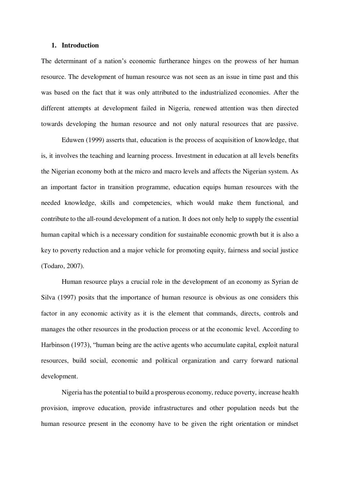#### **1. Introduction**

The determinant of a nation's economic furtherance hinges on the prowess of her human resource. The development of human resource was not seen as an issue in time past and this was based on the fact that it was only attributed to the industrialized economies. After the different attempts at development failed in Nigeria, renewed attention was then directed towards developing the human resource and not only natural resources that are passive.

 Eduwen (1999) asserts that, education is the process of acquisition of knowledge, that is, it involves the teaching and learning process. Investment in education at all levels benefits the Nigerian economy both at the micro and macro levels and affects the Nigerian system. As an important factor in transition programme, education equips human resources with the needed knowledge, skills and competencies, which would make them functional, and contribute to the all-round development of a nation. It does not only help to supply the essential human capital which is a necessary condition for sustainable economic growth but it is also a key to poverty reduction and a major vehicle for promoting equity, fairness and social justice (Todaro, 2007).

Human resource plays a crucial role in the development of an economy as Syrian de Silva (1997) posits that the importance of human resource is obvious as one considers this factor in any economic activity as it is the element that commands, directs, controls and manages the other resources in the production process or at the economic level. According to Harbinson (1973), "human being are the active agents who accumulate capital, exploit natural resources, build social, economic and political organization and carry forward national development.

Nigeria has the potential to build a prosperous economy, reduce poverty, increase health provision, improve education, provide infrastructures and other population needs but the human resource present in the economy have to be given the right orientation or mindset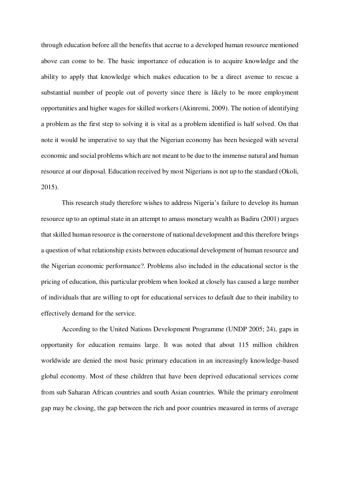through education before all the benefits that accrue to a developed human resource mentioned above can come to be. The basic importance of education is to acquire knowledge and the ability to apply that knowledge which makes education to be a direct avenue to rescue a substantial number of people out of poverty since there is likely to be more employment opportunities and higher wages for skilled workers (Akinremi, 2009). The notion of identifying a problem as the first step to solving it is vital as a problem identified is half solved. On that note it would be imperative to say that the Nigerian economy has been besieged with several economic and social problems which are not meant to be due to the immense natural and human resource at our disposal. Education received by most Nigerians is not up to the standard (Okoli, 2015).

This research study therefore wishes to address Nigeria's failure to develop its human resource up to an optimal state in an attempt to amass monetary wealth as Badiru (2001) argues that skilled human resource is the cornerstone of national development and this therefore brings a question of what relationship exists between educational development of human resource and the Nigerian economic performance?. Problems also included in the educational sector is the pricing of education, this particular problem when looked at closely has caused a large number of individuals that are willing to opt for educational services to default due to their inability to effectively demand for the service.

According to the United Nations Development Programme (UNDP 2005; 24), gaps in opportunity for education remains large. It was noted that about 115 million children worldwide are denied the most basic primary education in an increasingly knowledge-based global economy. Most of these children that have been deprived educational services come from sub Saharan African countries and south Asian countries. While the primary enrolment gap may be closing, the gap between the rich and poor countries measured in terms of average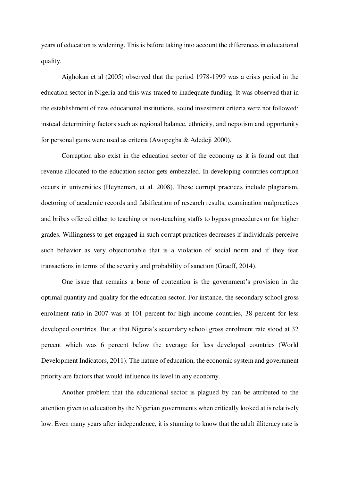years of education is widening. This is before taking into account the differences in educational quality.

Aighokan et al (2005) observed that the period 1978-1999 was a crisis period in the education sector in Nigeria and this was traced to inadequate funding. It was observed that in the establishment of new educational institutions, sound investment criteria were not followed; instead determining factors such as regional balance, ethnicity, and nepotism and opportunity for personal gains were used as criteria (Awopegba & Adedeji 2000).

Corruption also exist in the education sector of the economy as it is found out that revenue allocated to the education sector gets embezzled. In developing countries corruption occurs in universities (Heyneman, et al. 2008). These corrupt practices include plagiarism, doctoring of academic records and falsification of research results, examination malpractices and bribes offered either to teaching or non-teaching staffs to bypass procedures or for higher grades. Willingness to get engaged in such corrupt practices decreases if individuals perceive such behavior as very objectionable that is a violation of social norm and if they fear transactions in terms of the severity and probability of sanction (Graeff, 2014).

One issue that remains a bone of contention is the government's provision in the optimal quantity and quality for the education sector. For instance, the secondary school gross enrolment ratio in 2007 was at 101 percent for high income countries, 38 percent for less developed countries. But at that Nigeria's secondary school gross enrolment rate stood at 32 percent which was 6 percent below the average for less developed countries (World Development Indicators, 2011). The nature of education, the economic system and government priority are factors that would influence its level in any economy.

Another problem that the educational sector is plagued by can be attributed to the attention given to education by the Nigerian governments when critically looked at is relatively low. Even many years after independence, it is stunning to know that the adult illiteracy rate is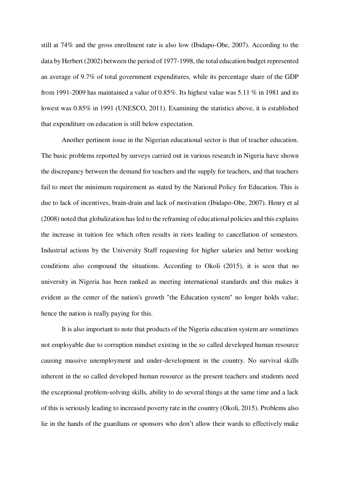still at 74% and the gross enrollment rate is also low (Ibidapo-Obe, 2007). According to the data by Herbert (2002) between the period of 1977-1998, the total education budget represented an average of 9.7% of total government expenditures, while its percentage share of the GDP from 1991-2009 has maintained a value of 0.85%. Its highest value was 5.11 % in 1981 and its lowest was 0.85% in 1991 (UNESCO, 2011). Examining the statistics above, it is established that expenditure on education is still below expectation.

Another pertinent issue in the Nigerian educational sector is that of teacher education. The basic problems reported by surveys carried out in various research in Nigeria have shown the discrepancy between the demand for teachers and the supply for teachers, and that teachers fail to meet the minimum requirement as stated by the National Policy for Education. This is due to lack of incentives, brain-drain and lack of motivation (Ibidapo-Obe, 2007). Henry et al (2008) noted that globalization has led to the reframing of educational policies and this explains the increase in tuition fee which often results in riots leading to cancellation of semesters. Industrial actions by the University Staff requesting for higher salaries and better working conditions also compound the situations. According to Okoli (2015), it is seen that no university in Nigeria has been ranked as meeting international standards and this makes it evident as the center of the nation's growth "the Education system" no longer holds value; hence the nation is really paying for this.

It is also important to note that products of the Nigeria education system are sometimes not employable due to corruption mindset existing in the so called developed human resource causing massive unemployment and under-development in the country. No survival skills inherent in the so called developed human resource as the present teachers and students need the exceptional problem-solving skills, ability to do several things at the same time and a lack of this is seriously leading to increased poverty rate in the country (Okoli, 2015). Problems also lie in the hands of the guardians or sponsors who don't allow their wards to effectively make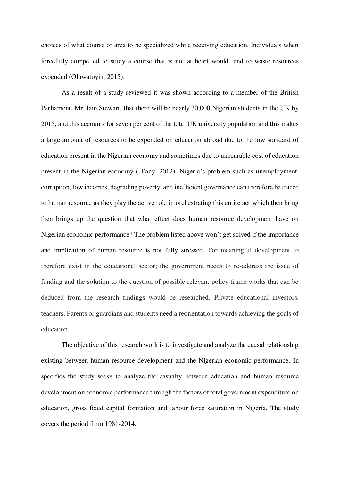choices of what course or area to be specialized while receiving education. Individuals when forcefully compelled to study a course that is not at heart would tend to waste resources expended (Oluwatoyin, 2015).

As a result of a study reviewed it was shown according to a member of the British Parliament, Mr. Iain Stewart, that there will be nearly 30,000 Nigerian students in the UK by 2015, and this accounts for seven per cent of the total UK university population and this makes a large amount of resources to be expended on education abroad due to the low standard of education present in the Nigerian economy and sometimes due to unbearable cost of education present in the Nigerian economy ( Tony, 2012). Nigeria's problem such as unemployment, corruption, low incomes, degrading poverty, and inefficient governance can therefore be traced to human resource as they play the active role in orchestrating this entire act which then bring then brings up the question that what effect does human resource development have on Nigerian economic performance? The problem listed above won't get solved if the importance and implication of human resource is not fully stressed. For meaningful development to therefore exist in the educational sector; the government needs to re-address the issue of funding and the solution to the question of possible relevant policy frame works that can be deduced from the research findings would be researched. Private educational investors, teachers, Parents or guardians and students need a reorientation towards achieving the goals of education.

The objective of this research work is to investigate and analyze the causal relationship existing between human resource development and the Nigerian economic performance. In specifics the study seeks to analyze the casualty between education and human resource development on economic performance through the factors of total government expenditure on education, gross fixed capital formation and labour force saturation in Nigeria. The study covers the period from 1981-2014.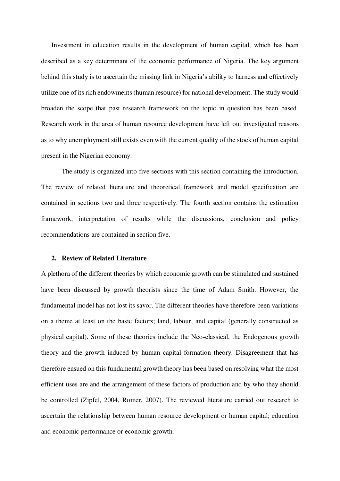Investment in education results in the development of human capital, which has been described as a key determinant of the economic performance of Nigeria. The key argument behind this study is to ascertain the missing link in Nigeria's ability to harness and effectively utilize one of its rich endowments (human resource) for national development. The study would broaden the scope that past research framework on the topic in question has been based. Research work in the area of human resource development have left out investigated reasons as to why unemployment still exists even with the current quality of the stock of human capital present in the Nigerian economy.

The study is organized into five sections with this section containing the introduction. The review of related literature and theoretical framework and model specification are contained in sections two and three respectively. The fourth section contains the estimation framework, interpretation of results while the discussions, conclusion and policy recommendations are contained in section five.

#### **2. Review of Related Literature**

A plethora of the different theories by which economic growth can be stimulated and sustained have been discussed by growth theorists since the time of Adam Smith. However, the fundamental model has not lost its savor. The different theories have therefore been variations on a theme at least on the basic factors; land, labour, and capital (generally constructed as physical capital). Some of these theories include the Neo-classical, the Endogenous growth theory and the growth induced by human capital formation theory. Disagreement that has therefore ensued on this fundamental growth theory has been based on resolving what the most efficient uses are and the arrangement of these factors of production and by who they should be controlled (Zipfel, 2004, Romer, 2007). The reviewed literature carried out research to ascertain the relationship between human resource development or human capital; education and economic performance or economic growth.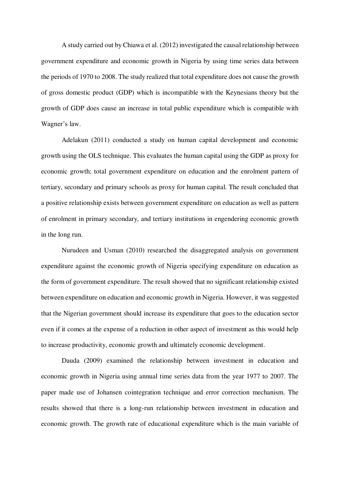A study carried out by Chiawa et al. (2012) investigated the causal relationship between government expenditure and economic growth in Nigeria by using time series data between the periods of 1970 to 2008. The study realized that total expenditure does not cause the growth of gross domestic product (GDP) which is incompatible with the Keynesians theory but the growth of GDP does cause an increase in total public expenditure which is compatible with Wagner's law.

Adelakun (2011) conducted a study on human capital development and economic growth using the OLS technique. This evaluates the human capital using the GDP as proxy for economic growth; total government expenditure on education and the enrolment pattern of tertiary, secondary and primary schools as proxy for human capital. The result concluded that a positive relationship exists between government expenditure on education as well as pattern of enrolment in primary secondary, and tertiary institutions in engendering economic growth in the long run.

Nurudeen and Usman (2010) researched the disaggregated analysis on government expenditure against the economic growth of Nigeria specifying expenditure on education as the form of government expenditure. The result showed that no significant relationship existed between expenditure on education and economic growth in Nigeria. However, it was suggested that the Nigerian government should increase its expenditure that goes to the education sector even if it comes at the expense of a reduction in other aspect of investment as this would help to increase productivity, economic growth and ultimately economic development.

Dauda (2009) examined the relationship between investment in education and economic growth in Nigeria using annual time series data from the year 1977 to 2007. The paper made use of Johansen cointegration technique and error correction mechanism. The results showed that there is a long-run relationship between investment in education and economic growth. The growth rate of educational expenditure which is the main variable of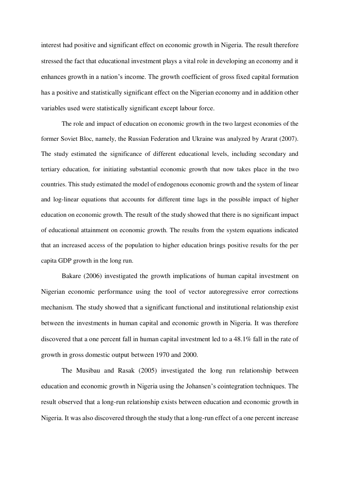interest had positive and significant effect on economic growth in Nigeria. The result therefore stressed the fact that educational investment plays a vital role in developing an economy and it enhances growth in a nation's income. The growth coefficient of gross fixed capital formation has a positive and statistically significant effect on the Nigerian economy and in addition other variables used were statistically significant except labour force.

The role and impact of education on economic growth in the two largest economies of the former Soviet Bloc, namely, the Russian Federation and Ukraine was analyzed by Ararat (2007). The study estimated the significance of different educational levels, including secondary and tertiary education, for initiating substantial economic growth that now takes place in the two countries. This study estimated the model of endogenous economic growth and the system of linear and log-linear equations that accounts for different time lags in the possible impact of higher education on economic growth. The result of the study showed that there is no significant impact of educational attainment on economic growth. The results from the system equations indicated that an increased access of the population to higher education brings positive results for the per capita GDP growth in the long run.

Bakare (2006) investigated the growth implications of human capital investment on Nigerian economic performance using the tool of vector autoregressive error corrections mechanism. The study showed that a significant functional and institutional relationship exist between the investments in human capital and economic growth in Nigeria. It was therefore discovered that a one percent fall in human capital investment led to a 48.1% fall in the rate of growth in gross domestic output between 1970 and 2000.

The Musibau and Rasak (2005) investigated the long run relationship between education and economic growth in Nigeria using the Johansen's cointegration techniques. The result observed that a long-run relationship exists between education and economic growth in Nigeria. It was also discovered through the study that a long-run effect of a one percent increase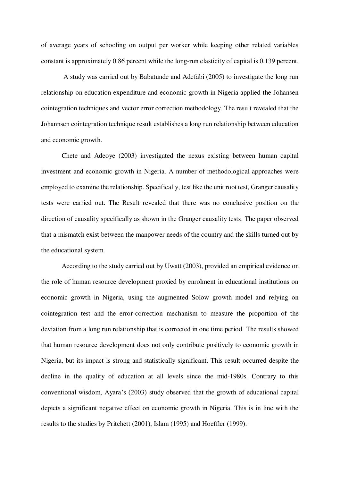of average years of schooling on output per worker while keeping other related variables constant is approximately 0.86 percent while the long-run elasticity of capital is 0.139 percent.

 A study was carried out by Babatunde and Adefabi (2005) to investigate the long run relationship on education expenditure and economic growth in Nigeria applied the Johansen cointegration techniques and vector error correction methodology. The result revealed that the Johannsen cointegration technique result establishes a long run relationship between education and economic growth.

Chete and Adeoye (2003) investigated the nexus existing between human capital investment and economic growth in Nigeria. A number of methodological approaches were employed to examine the relationship. Specifically, test like the unit root test, Granger causality tests were carried out. The Result revealed that there was no conclusive position on the direction of causality specifically as shown in the Granger causality tests. The paper observed that a mismatch exist between the manpower needs of the country and the skills turned out by the educational system.

According to the study carried out by Uwatt (2003), provided an empirical evidence on the role of human resource development proxied by enrolment in educational institutions on economic growth in Nigeria, using the augmented Solow growth model and relying on cointegration test and the error-correction mechanism to measure the proportion of the deviation from a long run relationship that is corrected in one time period. The results showed that human resource development does not only contribute positively to economic growth in Nigeria, but its impact is strong and statistically significant. This result occurred despite the decline in the quality of education at all levels since the mid-1980s. Contrary to this conventional wisdom, Ayara's (2003) study observed that the growth of educational capital depicts a significant negative effect on economic growth in Nigeria. This is in line with the results to the studies by Pritchett (2001), Islam (1995) and Hoeffler (1999).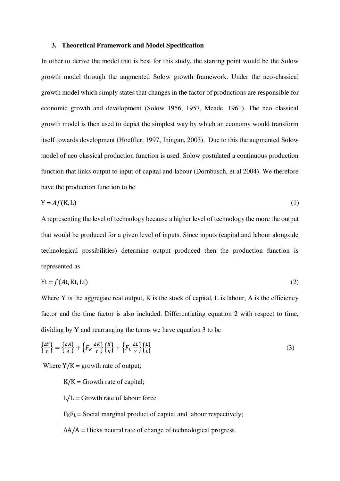#### **3. Theoretical Framework and Model Specification**

In other to derive the model that is best for this study, the starting point would be the Solow growth model through the augmented Solow growth framework. Under the neo-classical growth model which simply states that changes in the factor of productions are responsible for economic growth and development (Solow 1956, 1957, Meade, 1961). The neo classical growth model is then used to depict the simplest way by which an economy would transform itself towards development (Hoeffler, 1997, Jhingan, 2003). Due to this the augmented Solow model of neo classical production function is used. Solow postulated a continuous production function that links output to input of capital and labour (Dornbusch, et al 2004). We therefore have the production function to be

$$
Y = Af(K, L) \tag{1}
$$

A representing the level of technology because a higher level of technology the more the output that would be produced for a given level of inputs. Since inputs (capital and labour alongside technological possibilities) determine output produced then the production function is represented as

$$
Yt = f(At, Kt, Lt)
$$
 (2)

Where Y is the aggregate real output, K is the stock of capital, L is labour, A is the efficiency factor and the time factor is also included. Differentiating equation 2 with respect to time, dividing by Y and rearranging the terms we have equation 3 to be

$$
\left\{\frac{\Delta Y}{Y}\right\} = \left\{\frac{\Delta A}{A}\right\} + \left\{F_K \frac{\Delta K}{Y}\right\} \left\{\frac{K}{K}\right\} + \left\{F_L \frac{\Delta L}{Y}\right\} \left\{\frac{L}{L}\right\} \tag{3}
$$

Where  $Y/K =$  growth rate of output;

 $K/K =$  Growth rate of capital;

 $L/L =$  Growth rate of labour force

 $F_KF_L$  = Social marginal product of capital and labour respectively;

 $\Delta A/A$  = Hicks neutral rate of change of technological progress.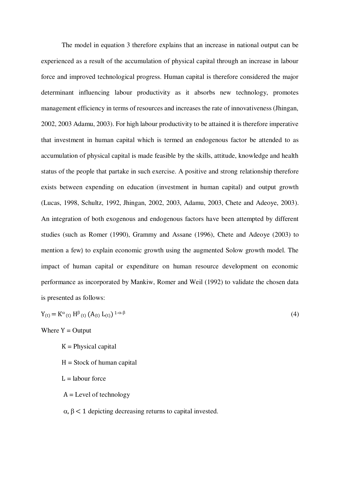The model in equation 3 therefore explains that an increase in national output can be experienced as a result of the accumulation of physical capital through an increase in labour force and improved technological progress. Human capital is therefore considered the major determinant influencing labour productivity as it absorbs new technology, promotes management efficiency in terms of resources and increases the rate of innovativeness (Jhingan, 2002, 2003 Adamu, 2003). For high labour productivity to be attained it is therefore imperative that investment in human capital which is termed an endogenous factor be attended to as accumulation of physical capital is made feasible by the skills, attitude, knowledge and health status of the people that partake in such exercise. A positive and strong relationship therefore exists between expending on education (investment in human capital) and output growth (Lucas, 1998, Schultz, 1992, Jhingan, 2002, 2003, Adamu, 2003, Chete and Adeoye, 2003). An integration of both exogenous and endogenous factors have been attempted by different studies (such as Romer (1990), Grammy and Assane (1996), Chete and Adeoye (2003) to mention a few) to explain economic growth using the augmented Solow growth model. The impact of human capital or expenditure on human resource development on economic performance as incorporated by Mankiw, Romer and Weil (1992) to validate the chosen data is presented as follows:

$$
Y_{(t)} = K^{\alpha}{}_{(t)} H^{\beta}{}_{(t)} (A_{(t)} L_{(t)})^{1-\alpha-\beta}
$$
\n
$$
\tag{4}
$$

Where  $Y =$  Output

 $K =$  Physical capital

- $H = Stock of human capital$
- $L =$ labour force
- $A = Level of technology$
- $\alpha$ ,  $\beta$  < 1 depicting decreasing returns to capital invested.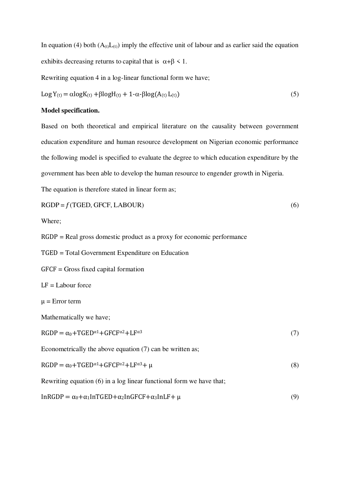In equation (4) both  $(A_{(t)}L_{(t)})$  imply the effective unit of labour and as earlier said the equation exhibits decreasing returns to capital that is  $\alpha + \beta < 1$ .

Rewriting equation 4 in a log-linear functional form we have;

$$
Log Y_{(t)} = \alpha log K_{(t)} + \beta log H_{(t)} + 1 - \alpha - \beta log (A_{(t)} L_{(t)})
$$
\n(5)

## **Model specification.**

Based on both theoretical and empirical literature on the causality between government education expenditure and human resource development on Nigerian economic performance the following model is specified to evaluate the degree to which education expenditure by the government has been able to develop the human resource to engender growth in Nigeria.

The equation is therefore stated in linear form as;

$$
RGDP = f(TGED, GFCF, LABOUR)
$$
\n(6)

Where;

RGDP = Real gross domestic product as a proxy for economic performance

TGED = Total Government Expenditure on Education

GFCF = Gross fixed capital formation

 $LF =$  Labour force

 $\mu$  = Error term

Mathematically we have;

$$
RGDP = \alpha_0 + TGED^{\alpha_1} + GFCF^{\alpha_2} + LF^{\alpha_3}
$$
\n<sup>(7)</sup>

Econometrically the above equation (7) can be written as;

$$
RGDP = \alpha_0 + TGED^{\alpha_1} + GFCF^{\alpha_2} + LF^{\alpha_3} + \mu
$$
\n(8)

Rewriting equation (6) in a log linear functional form we have that;

$$
InRGDP = \alpha_0 + \alpha_1 In TGED + \alpha_2 In GFCF + \alpha_3 In LF + \mu
$$
\n(9)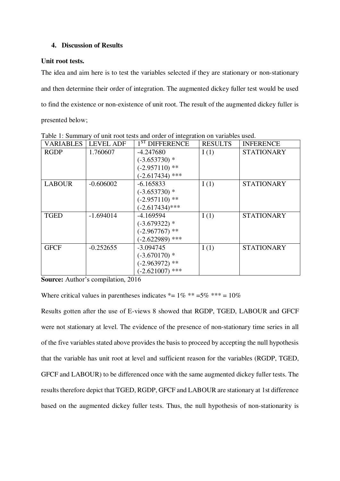## **4. Discussion of Results**

## **Unit root tests.**

The idea and aim here is to test the variables selected if they are stationary or non-stationary and then determine their order of integration. The augmented dickey fuller test would be used to find the existence or non-existence of unit root. The result of the augmented dickey fuller is presented below;

| <b>VARIABLES</b> | <b>LEVEL ADF</b> | $1ST$ DIFFERENCE  | <b>RESULTS</b> | <b>INFERENCE</b>  |
|------------------|------------------|-------------------|----------------|-------------------|
| <b>RGDP</b>      | 1.760607         | $-4.247680$       | I(1)           | <b>STATIONARY</b> |
|                  |                  | $(-3.653730)*$    |                |                   |
|                  |                  | $(-2.957110)$ **  |                |                   |
|                  |                  | $(-2.617434)$ *** |                |                   |
| <b>LABOUR</b>    | $-0.606002$      | $-6.165833$       | I(1)           | <b>STATIONARY</b> |
|                  |                  | $(-3.653730)*$    |                |                   |
|                  |                  | $(-2.957110)$ **  |                |                   |
|                  |                  | $(-2.617434)$ *** |                |                   |
| <b>TGED</b>      | $-1.694014$      | $-4.169594$       | I(1)           | <b>STATIONARY</b> |
|                  |                  | $(-3.679322)*$    |                |                   |
|                  |                  | $(-2.967767)$ **  |                |                   |
|                  |                  | $(-2.622989)$ *** |                |                   |
| <b>GFCF</b>      | $-0.252655$      | $-3.094745$       | I(1)           | <b>STATIONARY</b> |
|                  |                  | $(-3.670170)*$    |                |                   |
|                  |                  | $(-2.963972)$ **  |                |                   |
|                  |                  | $(-2.621007)$ *** |                |                   |

Table 1: Summary of unit root tests and order of integration on variables used.

**Source:** Author's compilation, 2016

Where critical values in parentheses indicates  $* = 1\%$   $** = 5\%$   $*** = 10\%$ 

Results gotten after the use of E-views 8 showed that RGDP, TGED, LABOUR and GFCF were not stationary at level. The evidence of the presence of non-stationary time series in all of the five variables stated above provides the basis to proceed by accepting the null hypothesis that the variable has unit root at level and sufficient reason for the variables (RGDP, TGED, GFCF and LABOUR) to be differenced once with the same augmented dickey fuller tests. The results therefore depict that TGED, RGDP, GFCF and LABOUR are stationary at 1st difference based on the augmented dickey fuller tests. Thus, the null hypothesis of non-stationarity is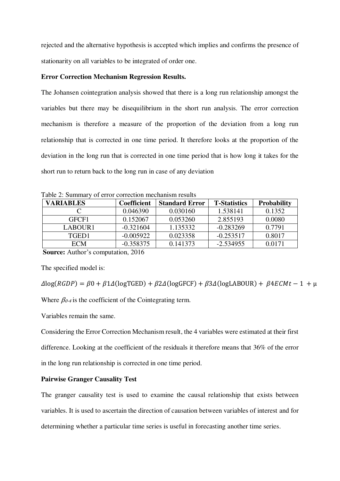rejected and the alternative hypothesis is accepted which implies and confirms the presence of stationarity on all variables to be integrated of order one.

## **Error Correction Mechanism Regression Results.**

The Johansen cointegration analysis showed that there is a long run relationship amongst the variables but there may be disequilibrium in the short run analysis. The error correction mechanism is therefore a measure of the proportion of the deviation from a long run relationship that is corrected in one time period. It therefore looks at the proportion of the deviation in the long run that is corrected in one time period that is how long it takes for the short run to return back to the long run in case of any deviation

| <b>VARIABLES</b> | <b>Coefficient</b> | <b>Standard Error</b> | <b>T-Statistics</b> | <b>Probability</b> |
|------------------|--------------------|-----------------------|---------------------|--------------------|
|                  | 0.046390           | 0.030160              | 1.538141            | 0.1352             |
| GFCF1            | 0.152067           | 0.053260              | 2.855193            | 0.0080             |
| LABOUR1          | $-0.321604$        | 1.135332              | $-0.283269$         | 0.7791             |
| TGED1            | $-0.005922$        | 0.023358              | $-0.253517$         | 0.8017             |
| <b>ECM</b>       | $-0.358375$        | 0.141373              | $-2.534955$         | 0.0171             |

Table 2: Summary of error correction mechanism results

 **Source:** Author's computation, 2016

The specified model is:

 $\Delta$ log(*RGDP*) =  $\beta$ 0 +  $\beta$ 1 $\Delta$ (logTGED) +  $\beta$ 2 $\Delta$ (logGFCF) +  $\beta$ 3 $\Delta$ (logLABOUR) +  $\beta$ 4*ECMt* - 1 +  $\mu$ Where  $\beta_{0-4}$  is the coefficient of the Cointegrating term.

Variables remain the same.

Considering the Error Correction Mechanism result, the 4 variables were estimated at their first difference. Looking at the coefficient of the residuals it therefore means that 36% of the error in the long run relationship is corrected in one time period.

## **Pairwise Granger Causality Test**

The granger causality test is used to examine the causal relationship that exists between variables. It is used to ascertain the direction of causation between variables of interest and for determining whether a particular time series is useful in forecasting another time series.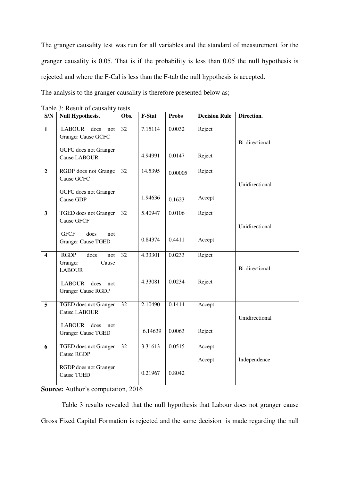The granger causality test was run for all variables and the standard of measurement for the granger causality is 0.05. That is if the probability is less than 0.05 the null hypothesis is rejected and where the F-Cal is less than the F-tab the null hypothesis is accepted.

The analysis to the granger causality is therefore presented below as;

| S/N                     | <b>Null Hypothesis.</b>                                                                                                      | Obs.            | F-Stat             | <b>Probs</b>      | <b>Decision Rule</b> | Direction.     |
|-------------------------|------------------------------------------------------------------------------------------------------------------------------|-----------------|--------------------|-------------------|----------------------|----------------|
| $\mathbf{1}$            | <b>LABOUR</b><br>does<br>not<br><b>Granger Cause GCFC</b><br>GCFC does not Granger<br><b>Cause LABOUR</b>                    | $\overline{32}$ | 7.15114<br>4.94991 | 0.0032<br>0.0147  | Reject<br>Reject     | Bi-directional |
| $\overline{2}$          | RGDP does not Grange<br>Cause GCFC<br>GCFC does not Granger<br>Cause GDP                                                     | 32              | 14.5395<br>1.94636 | 0.00005<br>0.1623 | Reject<br>Accept     | Unidirectional |
| $\overline{\mathbf{3}}$ | TGED does not Granger<br><b>Cause GFCF</b><br><b>GFCF</b><br>does<br>not<br><b>Granger Cause TGED</b>                        | 32              | 5.40947<br>0.84374 | 0.0106<br>0.4411  | Reject<br>Accept     | Unidirectional |
| $\overline{\mathbf{4}}$ | <b>RGDP</b><br>does<br>not<br>Cause<br>Granger<br><b>LABOUR</b><br><b>LABOUR</b><br>does<br>not<br><b>Granger Cause RGDP</b> | 32              | 4.33301<br>4.33081 | 0.0233<br>0.0234  | Reject<br>Reject     | Bi-directional |
| 5                       | <b>TGED</b> does not Granger<br>Cause LABOUR<br><b>LABOUR</b><br>does<br>not<br><b>Granger Cause TGED</b>                    | $\overline{32}$ | 2.10490<br>6.14639 | 0.1414<br>0.0063  | Accept<br>Reject     | Unidirectional |
| 6                       | TGED does not Granger<br>Cause RGDP<br>RGDP does not Granger<br><b>Cause TGED</b>                                            | 32              | 3.31613<br>0.21967 | 0.0515<br>0.8042  | Accept<br>Accept     | Independence   |

Table 3: Result of causality tests.

**Source:** Author's computation, 2016

Table 3 results revealed that the null hypothesis that Labour does not granger cause Gross Fixed Capital Formation is rejected and the same decision is made regarding the null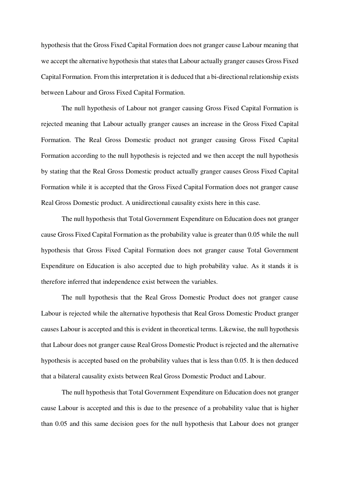hypothesis that the Gross Fixed Capital Formation does not granger cause Labour meaning that we accept the alternative hypothesis that states that Labour actually granger causes Gross Fixed Capital Formation. From this interpretation it is deduced that a bi-directional relationship exists between Labour and Gross Fixed Capital Formation.

The null hypothesis of Labour not granger causing Gross Fixed Capital Formation is rejected meaning that Labour actually granger causes an increase in the Gross Fixed Capital Formation. The Real Gross Domestic product not granger causing Gross Fixed Capital Formation according to the null hypothesis is rejected and we then accept the null hypothesis by stating that the Real Gross Domestic product actually granger causes Gross Fixed Capital Formation while it is accepted that the Gross Fixed Capital Formation does not granger cause Real Gross Domestic product. A unidirectional causality exists here in this case.

The null hypothesis that Total Government Expenditure on Education does not granger cause Gross Fixed Capital Formation as the probability value is greater than 0.05 while the null hypothesis that Gross Fixed Capital Formation does not granger cause Total Government Expenditure on Education is also accepted due to high probability value. As it stands it is therefore inferred that independence exist between the variables.

The null hypothesis that the Real Gross Domestic Product does not granger cause Labour is rejected while the alternative hypothesis that Real Gross Domestic Product granger causes Labour is accepted and this is evident in theoretical terms. Likewise, the null hypothesis that Labour does not granger cause Real Gross Domestic Product is rejected and the alternative hypothesis is accepted based on the probability values that is less than 0.05. It is then deduced that a bilateral causality exists between Real Gross Domestic Product and Labour.

The null hypothesis that Total Government Expenditure on Education does not granger cause Labour is accepted and this is due to the presence of a probability value that is higher than 0.05 and this same decision goes for the null hypothesis that Labour does not granger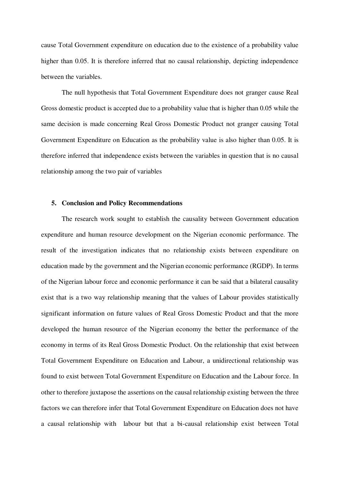cause Total Government expenditure on education due to the existence of a probability value higher than 0.05. It is therefore inferred that no causal relationship, depicting independence between the variables.

The null hypothesis that Total Government Expenditure does not granger cause Real Gross domestic product is accepted due to a probability value that is higher than 0.05 while the same decision is made concerning Real Gross Domestic Product not granger causing Total Government Expenditure on Education as the probability value is also higher than 0.05. It is therefore inferred that independence exists between the variables in question that is no causal relationship among the two pair of variables

### **5. Conclusion and Policy Recommendations**

The research work sought to establish the causality between Government education expenditure and human resource development on the Nigerian economic performance. The result of the investigation indicates that no relationship exists between expenditure on education made by the government and the Nigerian economic performance (RGDP). In terms of the Nigerian labour force and economic performance it can be said that a bilateral causality exist that is a two way relationship meaning that the values of Labour provides statistically significant information on future values of Real Gross Domestic Product and that the more developed the human resource of the Nigerian economy the better the performance of the economy in terms of its Real Gross Domestic Product. On the relationship that exist between Total Government Expenditure on Education and Labour, a unidirectional relationship was found to exist between Total Government Expenditure on Education and the Labour force. In other to therefore juxtapose the assertions on the causal relationship existing between the three factors we can therefore infer that Total Government Expenditure on Education does not have a causal relationship with labour but that a bi-causal relationship exist between Total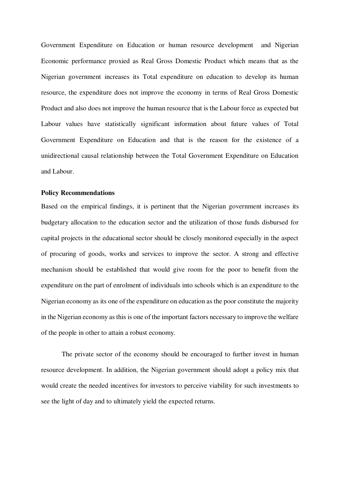Government Expenditure on Education or human resource development and Nigerian Economic performance proxied as Real Gross Domestic Product which means that as the Nigerian government increases its Total expenditure on education to develop its human resource, the expenditure does not improve the economy in terms of Real Gross Domestic Product and also does not improve the human resource that is the Labour force as expected but Labour values have statistically significant information about future values of Total Government Expenditure on Education and that is the reason for the existence of a unidirectional causal relationship between the Total Government Expenditure on Education and Labour.

### **Policy Recommendations**

Based on the empirical findings, it is pertinent that the Nigerian government increases its budgetary allocation to the education sector and the utilization of those funds disbursed for capital projects in the educational sector should be closely monitored especially in the aspect of procuring of goods, works and services to improve the sector. A strong and effective mechanism should be established that would give room for the poor to benefit from the expenditure on the part of enrolment of individuals into schools which is an expenditure to the Nigerian economy as its one of the expenditure on education as the poor constitute the majority in the Nigerian economy as this is one of the important factors necessary to improve the welfare of the people in other to attain a robust economy.

The private sector of the economy should be encouraged to further invest in human resource development. In addition, the Nigerian government should adopt a policy mix that would create the needed incentives for investors to perceive viability for such investments to see the light of day and to ultimately yield the expected returns.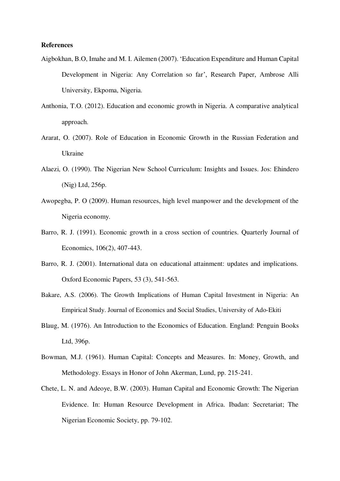## **References**

- Aigbokhan, B.O, Imahe and M. I. Ailemen (2007). 'Education Expenditure and Human Capital Development in Nigeria: Any Correlation so far', Research Paper, Ambrose Alli University, Ekpoma, Nigeria.
- Anthonia, T.O. (2012). Education and economic growth in Nigeria. A comparative analytical approach.
- Ararat, O. (2007). Role of Education in Economic Growth in the Russian Federation and Ukraine
- Alaezi, O. (1990). The Nigerian New School Curriculum: Insights and Issues. Jos: Ehindero (Nig) Ltd, 256p.
- Awopegba, P. O (2009). Human resources, high level manpower and the development of the Nigeria economy.
- Barro, R. J. (1991). Economic growth in a cross section of countries. Quarterly Journal of Economics, 106(2), 407-443.
- Barro, R. J. (2001). International data on educational attainment: updates and implications. Oxford Economic Papers, 53 (3), 541-563.
- Bakare, A.S. (2006). The Growth Implications of Human Capital Investment in Nigeria: An Empirical Study. Journal of Economics and Social Studies, University of Ado-Ekiti
- Blaug, M. (1976). An Introduction to the Economics of Education. England: Penguin Books Ltd, 396p.
- Bowman, M.J. (1961). Human Capital: Concepts and Measures. In: Money, Growth, and Methodology. Essays in Honor of John Akerman, Lund, pp. 215-241.
- Chete, L. N. and Adeoye, B.W. (2003). Human Capital and Economic Growth: The Nigerian Evidence. In: Human Resource Development in Africa. Ibadan: Secretariat; The Nigerian Economic Society, pp. 79-102.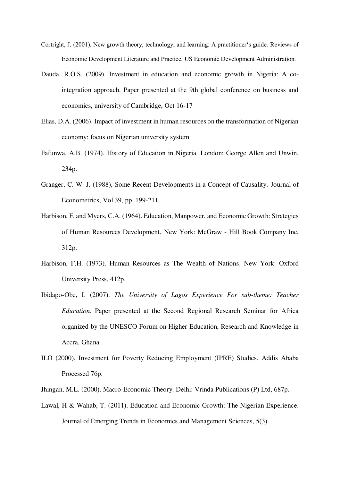- Cortright, J. (2001). New growth theory, technology, and learning: A practitioner's guide. Reviews of Economic Development Literature and Practice. US Economic Development Administration.
- Dauda, R.O.S. (2009). Investment in education and economic growth in Nigeria: A cointegration approach. Paper presented at the 9th global conference on business and economics, university of Cambridge, Oct 16-17
- Elias, D.A. (2006). Impact of investment in human resources on the transformation of Nigerian economy: focus on Nigerian university system
- Fafunwa, A.B. (1974). History of Education in Nigeria. London: George Allen and Unwin, 234p.
- Granger, C. W. J. (1988), Some Recent Developments in a Concept of Causality. Journal of Econometrics, Vol 39, pp. 199-211
- Harbison, F. and Myers, C.A. (1964). Education, Manpower, and Economic Growth: Strategies of Human Resources Development. New York: McGraw - Hill Book Company Inc, 312p.
- Harbison, F.H. (1973). Human Resources as The Wealth of Nations. New York: Oxford University Press, 412p.
- Ibidapo-Obe, I. (2007). *The University of Lagos Experience For sub-theme: Teacher Education*. Paper presented at the Second Regional Research Seminar for Africa organized by the UNESCO Forum on Higher Education, Research and Knowledge in Accra, Ghana.
- ILO (2000). Investment for Poverty Reducing Employment (IPRE) Studies. Addis Ababa Processed 76p.
- Jhingan, M.L. (2000). Macro-Economic Theory. Delhi: Vrinda Publications (P) Ltd, 687p.
- Lawal, H & Wahab, T. (2011). Education and Economic Growth: The Nigerian Experience. Journal of Emerging Trends in Economics and Management Sciences, 5(3).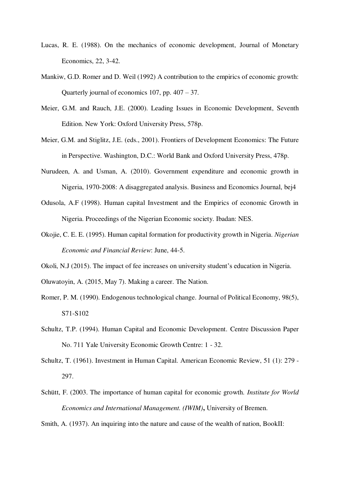- Lucas, R. E. (1988). On the mechanics of economic development, Journal of Monetary Economics, 22, 3-42.
- Mankiw, G.D. Romer and D. Weil (1992) A contribution to the empirics of economic growth: Quarterly journal of economics 107, pp.  $407 - 37$ .
- Meier, G.M. and Rauch, J.E. (2000). Leading Issues in Economic Development, Seventh Edition. New York: Oxford University Press, 578p.
- Meier, G.M. and Stiglitz, J.E. (eds., 2001). Frontiers of Development Economics: The Future in Perspective. Washington, D.C.: World Bank and Oxford University Press, 478p.
- Nurudeen, A. and Usman, A. (2010). Government expenditure and economic growth in Nigeria, 1970-2008: A disaggregated analysis. Business and Economics Journal, bej4
- Odusola, A.F (1998). Human capital Investment and the Empirics of economic Growth in Nigeria. Proceedings of the Nigerian Economic society. Ibadan: NES.
- Okojie, C. E. E. (1995). Human capital formation for productivity growth in Nigeria. *Nigerian Economic and Financial Review*: June, 44-5.
- Okoli, N.J (2015). The impact of fee increases on university student's education in Nigeria.

Oluwatoyin, A. (2015, May 7). Making a career. The Nation.

- Romer, P. M. (1990). Endogenous technological change. Journal of Political Economy, 98(5), S71-S102
- Schultz, T.P. (1994). Human Capital and Economic Development. Centre Discussion Paper No. 711 Yale University Economic Growth Centre: 1 - 32.
- Schultz, T. (1961). Investment in Human Capital. American Economic Review, 51 (1): 279 297.
- Schütt, F. (2003. The importance of human capital for economic growth. *Institute for World Economics and International Management. (IWIM)***,** University of Bremen.
- Smith, A. (1937). An inquiring into the nature and cause of the wealth of nation, BookII: